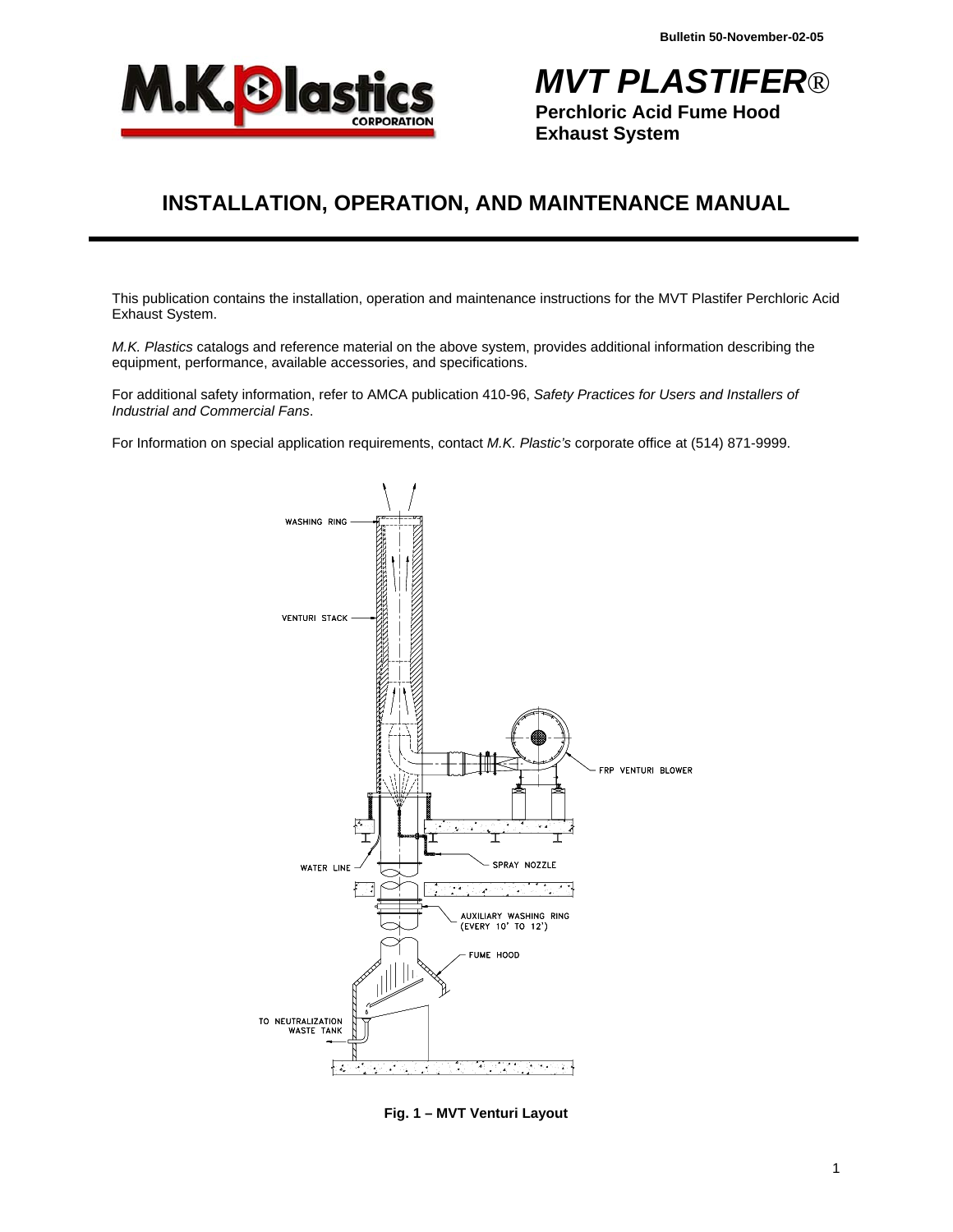

*MVT PLASTIFER*® **Perchloric Acid Fume Hood Exhaust System** 

# **INSTALLATION, OPERATION, AND MAINTENANCE MANUAL**

This publication contains the installation, operation and maintenance instructions for the MVT Plastifer Perchloric Acid Exhaust System.

*M.K. Plastics* catalogs and reference material on the above system, provides additional information describing the equipment, performance, available accessories, and specifications.

For additional safety information, refer to AMCA publication 410-96, *Safety Practices for Users and Installers of Industrial and Commercial Fans*.

For Information on special application requirements, contact *M.K. Plastic's* corporate office at (514) 871-9999.



**Fig. 1 – MVT Venturi Layout**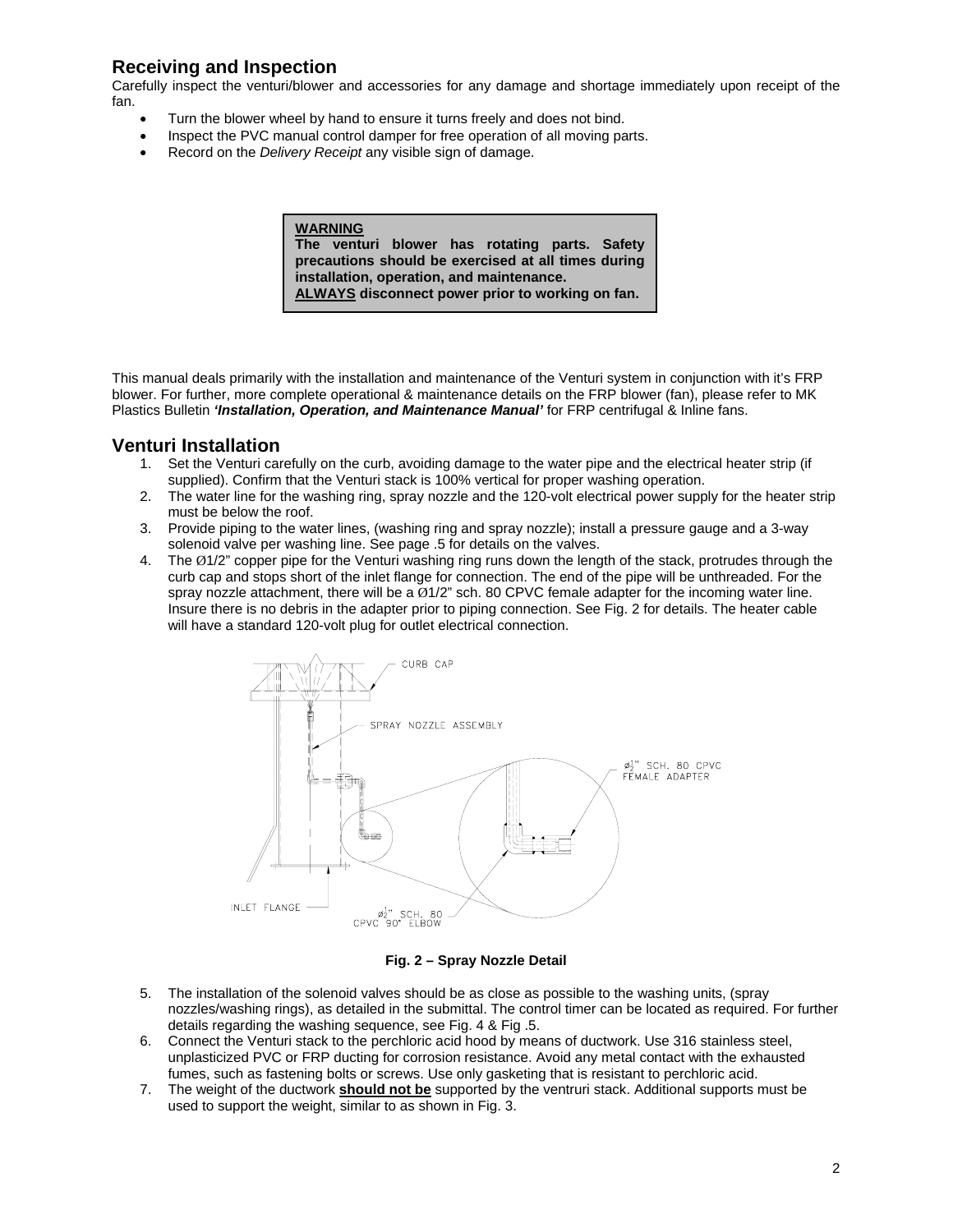### **Receiving and Inspection**

Carefully inspect the venturi/blower and accessories for any damage and shortage immediately upon receipt of the fan.

- Turn the blower wheel by hand to ensure it turns freely and does not bind.
- Inspect the PVC manual control damper for free operation of all moving parts.
- Record on the *Delivery Receipt* any visible sign of damage.

#### **WARNING**

**The venturi blower has rotating parts. Safety precautions should be exercised at all times during installation, operation, and maintenance. ALWAYS disconnect power prior to working on fan.**

This manual deals primarily with the installation and maintenance of the Venturi system in conjunction with it's FRP blower. For further, more complete operational & maintenance details on the FRP blower (fan), please refer to MK Plastics Bulletin *'Installation, Operation, and Maintenance Manual'* for FRP centrifugal & Inline fans.

### **Venturi Installation**

- 1. Set the Venturi carefully on the curb, avoiding damage to the water pipe and the electrical heater strip (if supplied). Confirm that the Venturi stack is 100% vertical for proper washing operation.
- 2. The water line for the washing ring, spray nozzle and the 120-volt electrical power supply for the heater strip must be below the roof.
- 3. Provide piping to the water lines, (washing ring and spray nozzle); install a pressure gauge and a 3-way solenoid valve per washing line. See page .5 for details on the valves.
- 4. The Ø1/2" copper pipe for the Venturi washing ring runs down the length of the stack, protrudes through the curb cap and stops short of the inlet flange for connection. The end of the pipe will be unthreaded. For the spray nozzle attachment, there will be a  $\varnothing$ 1/2" sch. 80 CPVC female adapter for the incoming water line. Insure there is no debris in the adapter prior to piping connection. See Fig. 2 for details. The heater cable will have a standard 120-volt plug for outlet electrical connection.



#### **Fig. 2 – Spray Nozzle Detail**

- 5. The installation of the solenoid valves should be as close as possible to the washing units, (spray nozzles/washing rings), as detailed in the submittal. The control timer can be located as required. For further details regarding the washing sequence, see Fig. 4 & Fig .5.
- 6. Connect the Venturi stack to the perchloric acid hood by means of ductwork. Use 316 stainless steel, unplasticized PVC or FRP ducting for corrosion resistance. Avoid any metal contact with the exhausted fumes, such as fastening bolts or screws. Use only gasketing that is resistant to perchloric acid.
- 7. The weight of the ductwork **should not be** supported by the ventruri stack. Additional supports must be used to support the weight, similar to as shown in Fig. 3.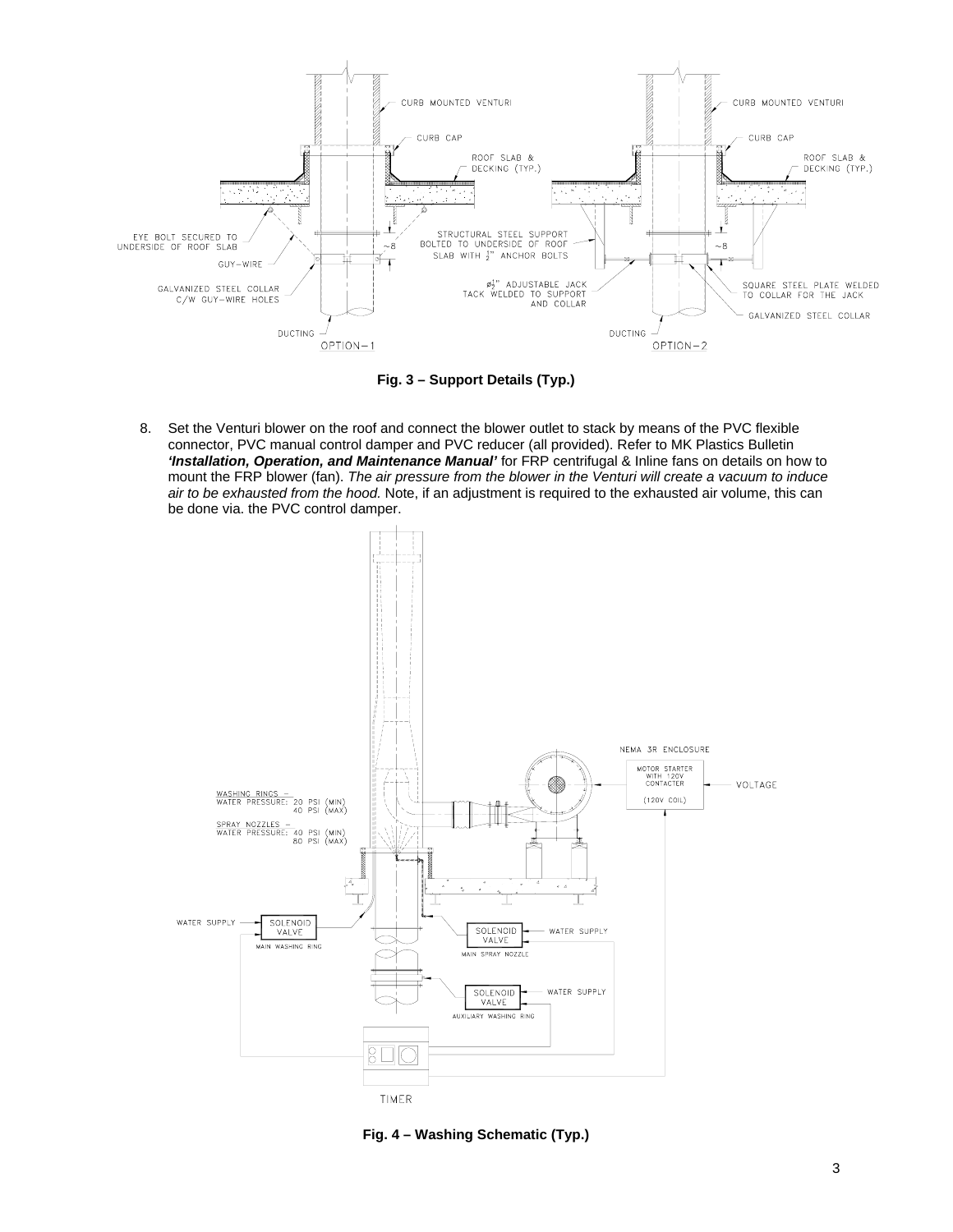

**Fig. 3 – Support Details (Typ.)** 

8. Set the Venturi blower on the roof and connect the blower outlet to stack by means of the PVC flexible connector, PVC manual control damper and PVC reducer (all provided). Refer to MK Plastics Bulletin *'Installation, Operation, and Maintenance Manual'* for FRP centrifugal & Inline fans on details on how to mount the FRP blower (fan). *The air pressure from the blower in the Venturi will create a vacuum to induce air to be exhausted from the hood.* Note, if an adjustment is required to the exhausted air volume, this can be done via. the PVC control damper.



**Fig. 4 – Washing Schematic (Typ.)**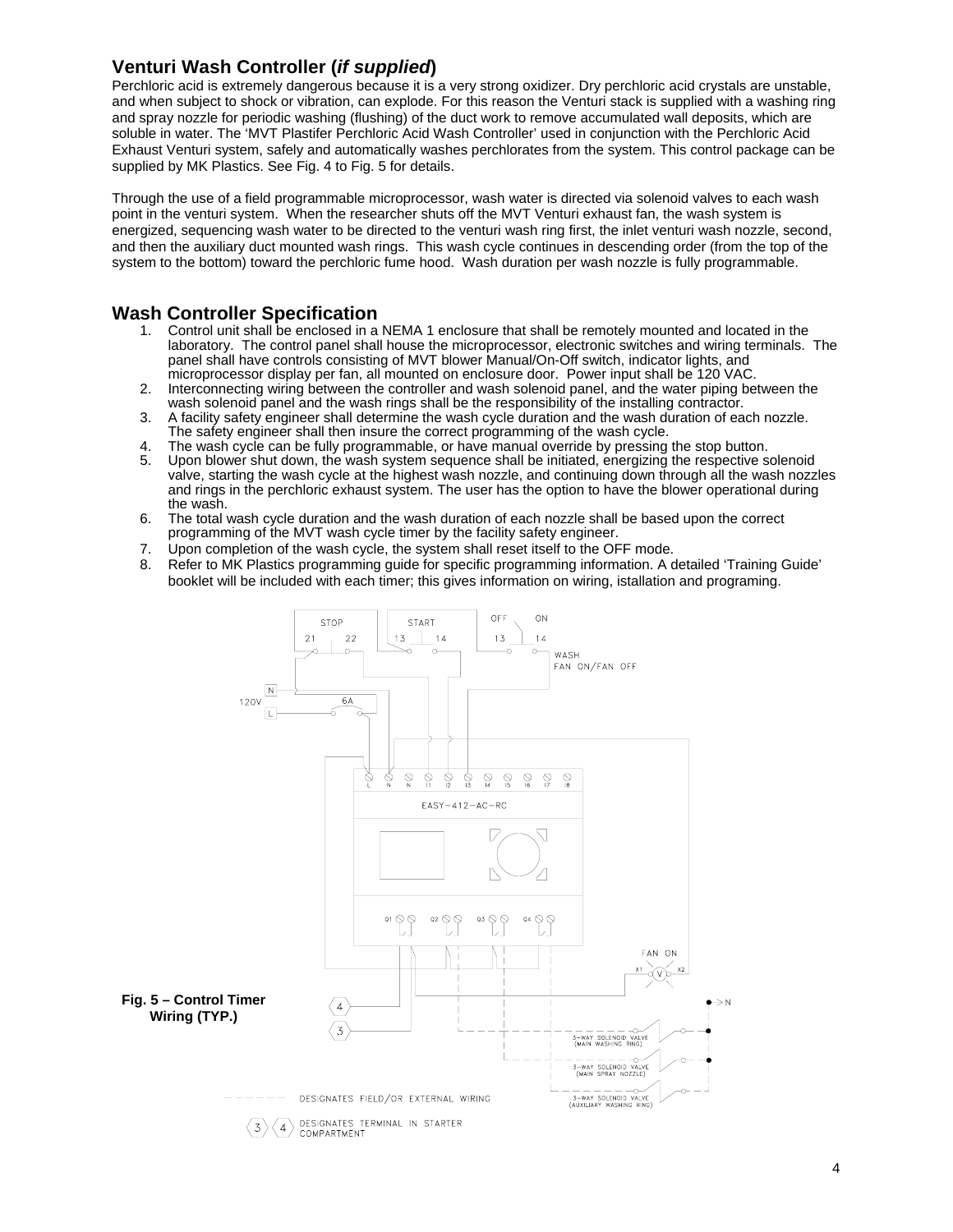## **Venturi Wash Controller (***if supplied***)**

Perchloric acid is extremely dangerous because it is a very strong oxidizer. Dry perchloric acid crystals are unstable, and when subject to shock or vibration, can explode. For this reason the Venturi stack is supplied with a washing ring and spray nozzle for periodic washing (flushing) of the duct work to remove accumulated wall deposits, which are soluble in water. The 'MVT Plastifer Perchloric Acid Wash Controller' used in conjunction with the Perchloric Acid Exhaust Venturi system, safely and automatically washes perchlorates from the system. This control package can be supplied by MK Plastics. See Fig. 4 to Fig. 5 for details.

Through the use of a field programmable microprocessor, wash water is directed via solenoid valves to each wash point in the venturi system. When the researcher shuts off the MVT Venturi exhaust fan, the wash system is energized, sequencing wash water to be directed to the venturi wash ring first, the inlet venturi wash nozzle, second, and then the auxiliary duct mounted wash rings. This wash cycle continues in descending order (from the top of the system to the bottom) toward the perchloric fume hood. Wash duration per wash nozzle is fully programmable.

### **Wash Controller Specification**

- 1. Control unit shall be enclosed in a NEMA 1 enclosure that shall be remotely mounted and located in the laboratory. The control panel shall house the microprocessor, electronic switches and wiring terminals. The panel shall have controls consisting of MVT blower Manual/On-Off switch, indicator lights, and microprocessor display per fan, all mounted on enclosure door. Power input shall be 120 VAC.
- 2. Interconnecting wiring between the controller and wash solenoid panel, and the water piping between the wash solenoid panel and the wash rings shall be the responsibility of the installing contractor.
- 3. A facility safety engineer shall determine the wash cycle duration and the wash duration of each nozzle. The safety engineer shall then insure the correct programming of the wash cycle.
- 4. The wash cycle can be fully programmable, or have manual override by pressing the stop button.
- Upon blower shut down, the wash system sequence shall be initiated, energizing the respective solenoid valve, starting the wash cycle at the highest wash nozzle, and continuing down through all the wash nozzles and rings in the perchloric exhaust system. The user has the option to have the blower operational during the wash.
- 6. The total wash cycle duration and the wash duration of each nozzle shall be based upon the correct programming of the MVT wash cycle timer by the facility safety engineer.
- 7. Upon completion of the wash cycle, the system shall reset itself to the OFF mode.
- 8. Refer to MK Plastics programming guide for specific programming information. A detailed 'Training Guide' booklet will be included with each timer; this gives information on wiring, istallation and programing.

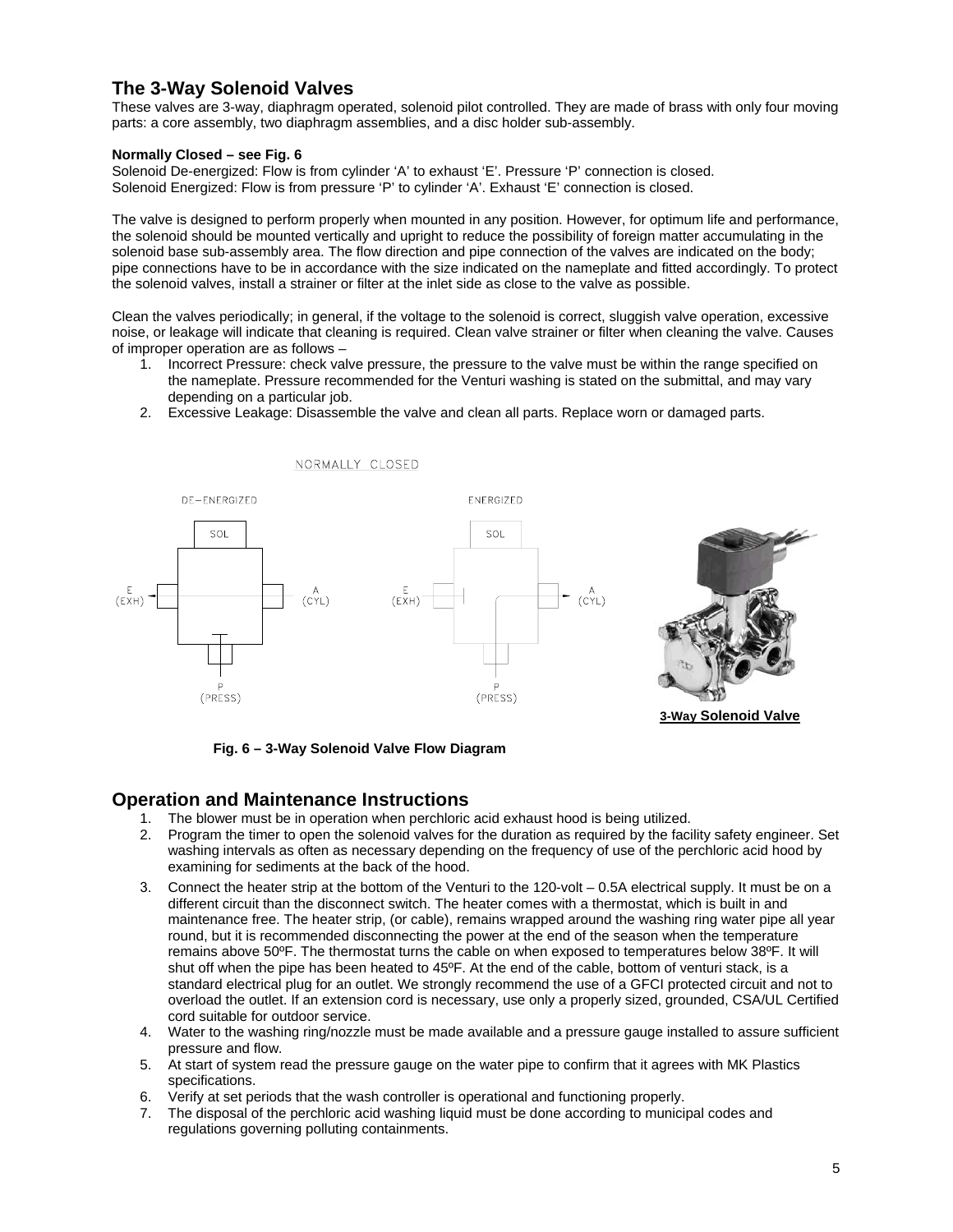### **The 3-Way Solenoid Valves**

These valves are 3-way, diaphragm operated, solenoid pilot controlled. They are made of brass with only four moving parts: a core assembly, two diaphragm assemblies, and a disc holder sub-assembly.

#### **Normally Closed – see Fig. 6**

Solenoid De-energized: Flow is from cylinder 'A' to exhaust 'E'. Pressure 'P' connection is closed. Solenoid Energized: Flow is from pressure 'P' to cylinder 'A'. Exhaust 'E' connection is closed.

The valve is designed to perform properly when mounted in any position. However, for optimum life and performance, the solenoid should be mounted vertically and upright to reduce the possibility of foreign matter accumulating in the solenoid base sub-assembly area. The flow direction and pipe connection of the valves are indicated on the body; pipe connections have to be in accordance with the size indicated on the nameplate and fitted accordingly. To protect the solenoid valves, install a strainer or filter at the inlet side as close to the valve as possible.

Clean the valves periodically; in general, if the voltage to the solenoid is correct, sluggish valve operation, excessive noise, or leakage will indicate that cleaning is required. Clean valve strainer or filter when cleaning the valve. Causes of improper operation are as follows –

- 1. Incorrect Pressure: check valve pressure, the pressure to the valve must be within the range specified on the nameplate. Pressure recommended for the Venturi washing is stated on the submittal, and may vary depending on a particular job.
- 2. Excessive Leakage: Disassemble the valve and clean all parts. Replace worn or damaged parts.



 **Fig. 6 – 3-Way Solenoid Valve Flow Diagram** 

NORMALLY CLOSED

### **Operation and Maintenance Instructions**

- 1. The blower must be in operation when perchloric acid exhaust hood is being utilized.
- 2. Program the timer to open the solenoid valves for the duration as required by the facility safety engineer. Set washing intervals as often as necessary depending on the frequency of use of the perchloric acid hood by examining for sediments at the back of the hood.
- 3. Connect the heater strip at the bottom of the Venturi to the 120-volt 0.5A electrical supply. It must be on a different circuit than the disconnect switch. The heater comes with a thermostat, which is built in and maintenance free. The heater strip, (or cable), remains wrapped around the washing ring water pipe all year round, but it is recommended disconnecting the power at the end of the season when the temperature remains above 50ºF. The thermostat turns the cable on when exposed to temperatures below 38ºF. It will shut off when the pipe has been heated to 45ºF. At the end of the cable, bottom of venturi stack, is a standard electrical plug for an outlet. We strongly recommend the use of a GFCI protected circuit and not to overload the outlet. If an extension cord is necessary, use only a properly sized, grounded, CSA/UL Certified cord suitable for outdoor service.
- 4. Water to the washing ring/nozzle must be made available and a pressure gauge installed to assure sufficient pressure and flow.
- 5. At start of system read the pressure gauge on the water pipe to confirm that it agrees with MK Plastics specifications.
- 6. Verify at set periods that the wash controller is operational and functioning properly.
- 7. The disposal of the perchloric acid washing liquid must be done according to municipal codes and regulations governing polluting containments.